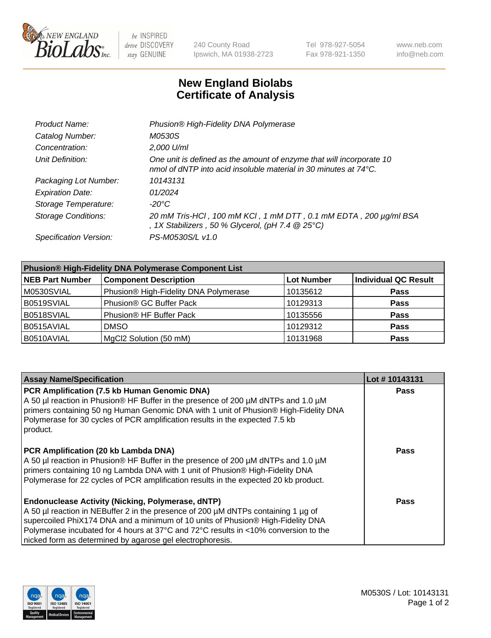

be INSPIRED drive DISCOVERY stay GENUINE

240 County Road Ipswich, MA 01938-2723 Tel 978-927-5054 Fax 978-921-1350 www.neb.com info@neb.com

## **New England Biolabs Certificate of Analysis**

| Product Name:              | Phusion® High-Fidelity DNA Polymerase                                                                                                    |
|----------------------------|------------------------------------------------------------------------------------------------------------------------------------------|
| Catalog Number:            | M0530S                                                                                                                                   |
| Concentration:             | 2,000 U/ml                                                                                                                               |
| Unit Definition:           | One unit is defined as the amount of enzyme that will incorporate 10<br>nmol of dNTP into acid insoluble material in 30 minutes at 74°C. |
| Packaging Lot Number:      | 10143131                                                                                                                                 |
| <b>Expiration Date:</b>    | 01/2024                                                                                                                                  |
| Storage Temperature:       | -20°C                                                                                                                                    |
| <b>Storage Conditions:</b> | 20 mM Tris-HCl, 100 mM KCl, 1 mM DTT, 0.1 mM EDTA, 200 µg/ml BSA<br>, 1X Stabilizers, 50 % Glycerol, (pH 7.4 $@25°C$ )                   |
| Specification Version:     | PS-M0530S/L v1.0                                                                                                                         |

| <b>Phusion® High-Fidelity DNA Polymerase Component List</b> |                                       |                   |                             |  |
|-------------------------------------------------------------|---------------------------------------|-------------------|-----------------------------|--|
| <b>NEB Part Number</b>                                      | <b>Component Description</b>          | <b>Lot Number</b> | <b>Individual QC Result</b> |  |
| M0530SVIAL                                                  | Phusion® High-Fidelity DNA Polymerase | 10135612          | <b>Pass</b>                 |  |
| B0519SVIAL                                                  | Phusion® GC Buffer Pack               | 10129313          | <b>Pass</b>                 |  |
| B0518SVIAL                                                  | Phusion <sup>®</sup> HF Buffer Pack   | 10135556          | <b>Pass</b>                 |  |
| B0515AVIAL                                                  | <b>DMSO</b>                           | 10129312          | <b>Pass</b>                 |  |
| B0510AVIAL                                                  | MgCl2 Solution (50 mM)                | 10131968          | <b>Pass</b>                 |  |

| <b>Assay Name/Specification</b>                                                                                                                                                                                                                                                                                                                                                      | Lot #10143131 |
|--------------------------------------------------------------------------------------------------------------------------------------------------------------------------------------------------------------------------------------------------------------------------------------------------------------------------------------------------------------------------------------|---------------|
| PCR Amplification (7.5 kb Human Genomic DNA)<br>A 50 µl reaction in Phusion® HF Buffer in the presence of 200 µM dNTPs and 1.0 µM<br>primers containing 50 ng Human Genomic DNA with 1 unit of Phusion® High-Fidelity DNA<br>Polymerase for 30 cycles of PCR amplification results in the expected 7.5 kb<br>product.                                                                | <b>Pass</b>   |
| PCR Amplification (20 kb Lambda DNA)<br>A 50 µl reaction in Phusion® HF Buffer in the presence of 200 µM dNTPs and 1.0 µM<br>primers containing 10 ng Lambda DNA with 1 unit of Phusion® High-Fidelity DNA<br>Polymerase for 22 cycles of PCR amplification results in the expected 20 kb product.                                                                                   | Pass          |
| <b>Endonuclease Activity (Nicking, Polymerase, dNTP)</b><br>A 50 µl reaction in NEBuffer 2 in the presence of 200 µM dNTPs containing 1 µg of<br>supercoiled PhiX174 DNA and a minimum of 10 units of Phusion® High-Fidelity DNA<br>Polymerase incubated for 4 hours at 37°C and 72°C results in <10% conversion to the<br>nicked form as determined by agarose gel electrophoresis. | Pass          |